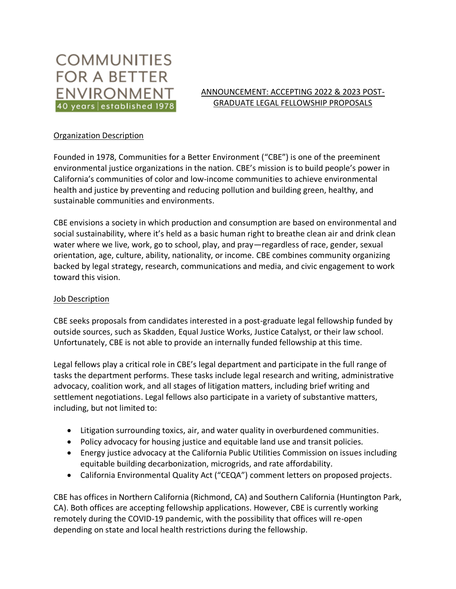# **COMMUNITIES FOR A BETTER ENVIRONMENT** 40 years established 1978

### ANNOUNCEMENT: ACCEPTING 2022 & 2023 POST-GRADUATE LEGAL FELLOWSHIP PROPOSALS

## Organization Description

Founded in 1978, Communities for a Better Environment ("CBE") is one of the preeminent environmental justice organizations in the nation. CBE's mission is to build people's power in California's communities of color and low-income communities to achieve environmental health and justice by preventing and reducing pollution and building green, healthy, and sustainable communities and environments.

CBE envisions a society in which production and consumption are based on environmental and social sustainability, where it's held as a basic human right to breathe clean air and drink clean water where we live, work, go to school, play, and pray—regardless of race, gender, sexual orientation, age, culture, ability, nationality, or income. CBE combines community organizing backed by legal strategy, research, communications and media, and civic engagement to work toward this vision.

### Job Description

CBE seeks proposals from candidates interested in a post-graduate legal fellowship funded by outside sources, such as Skadden, Equal Justice Works, Justice Catalyst, or their law school. Unfortunately, CBE is not able to provide an internally funded fellowship at this time.

Legal fellows play a critical role in CBE's legal department and participate in the full range of tasks the department performs. These tasks include legal research and writing, administrative advocacy, coalition work, and all stages of litigation matters, including brief writing and settlement negotiations. Legal fellows also participate in a variety of substantive matters, including, but not limited to:

- Litigation surrounding toxics, air, and water quality in overburdened communities.
- Policy advocacy for housing justice and equitable land use and transit policies.
- Energy justice advocacy at the California Public Utilities Commission on issues including equitable building decarbonization, microgrids, and rate affordability.
- California Environmental Quality Act ("CEQA") comment letters on proposed projects.

CBE has offices in Northern California (Richmond, CA) and Southern California (Huntington Park, CA). Both offices are accepting fellowship applications. However, CBE is currently working remotely during the COVID-19 pandemic, with the possibility that offices will re-open depending on state and local health restrictions during the fellowship.